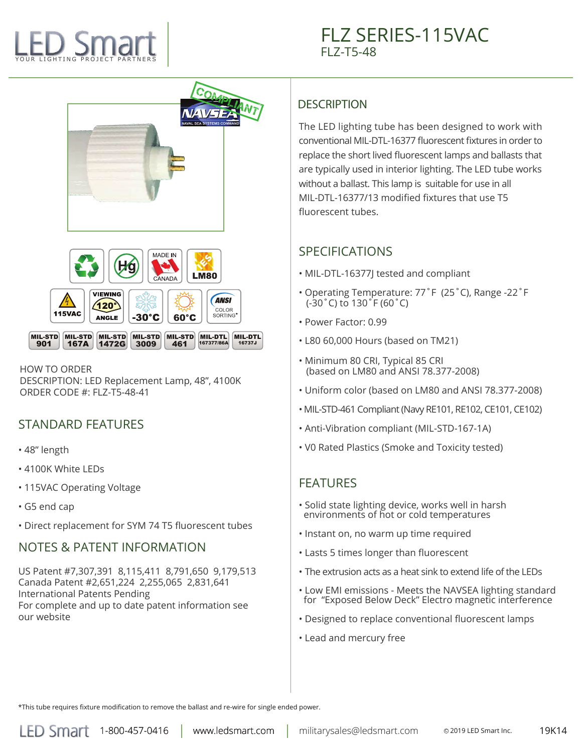# YOUR LIGHTING PROJECT PARTNERS



#### HOW TO ORDER

DESCRIPTION: LED Replacement Lamp, 48", 4100K ORDER CODE #: FLZ-T5-48-41

# STANDARD FEATURES

- 48" length
- 4100K White LEDs
- 115VAC Operating Voltage
- G5 end cap
- Direct replacement for SYM 74 T5 fluorescent tubes

#### NOTES & PATENT INFORMATION

US Patent #7,307,391 8,115,411 8,791,650 9,179,513 Canada Patent #2,651,224 2,255,065 2,831,641 International Patents Pending For complete and up to date patent information see our website

#### **DESCRIPTION**

The LED lighting tube has been designed to work with conventional MIL-DTL-16377 fluorescent fixtures in order to replace the short lived fluorescent lamps and ballasts that are typically used in interior lighting. The LED tube works without a ballast. This lamp is suitable for use in all MIL-DTL-16377/13 modified fixtures that use T5 fluorescent tubes.

# SPECIFICATIONS

- MIL-DTL-16377J tested and compliant
- Operating Temperature: 77˚F (25˚C), Range -22˚F (-30˚C) to 130˚F (60˚C)
- Power Factor: 0.99
- L80 60,000 Hours (based on TM21)
- Minimum 80 CRI, Typical 85 CRI (based on LM80 and ANSI 78.377-2008)
- Uniform color (based on LM80 and ANSI 78.377-2008)
- MIL-STD-461 Compliant (Navy RE101, RE102, CE101, CE102)
- Anti-Vibration compliant (MIL-STD-167-1A)
- V0 Rated Plastics (Smoke and Toxicity tested)

### FEATURES

- Solid state lighting device, works well in harsh environments of hot or cold temperatures
- Instant on, no warm up time required
- Lasts 5 times longer than fluorescent
- The extrusion acts as a heat sink to extend life of the LEDs
- Low EMI emissions Meets the NAVSEA lighting standard for "Exposed Below Deck" Electro magnetic interference
- Designed to replace conventional fluorescent lamps
- Lead and mercury free

\*This tube requires fixture modification to remove the ballast and re-wire for single ended power.